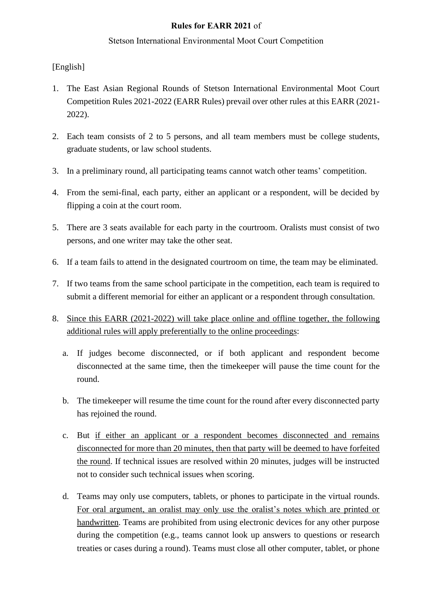## **Rules for EARR 2021** of

## Stetson International Environmental Moot Court Competition

[English]

- 1. The East Asian Regional Rounds of Stetson International Environmental Moot Court Competition Rules 2021-2022 (EARR Rules) prevail over other rules at this EARR (2021- 2022).
- 2. Each team consists of 2 to 5 persons, and all team members must be college students, graduate students, or law school students.
- 3. In a preliminary round, all participating teams cannot watch other teams' competition.
- 4. From the semi-final, each party, either an applicant or a respondent, will be decided by flipping a coin at the court room.
- 5. There are 3 seats available for each party in the courtroom. Oralists must consist of two persons, and one writer may take the other seat.
- 6. If a team fails to attend in the designated courtroom on time, the team may be eliminated.
- 7. If two teams from the same school participate in the competition, each team is required to submit a different memorial for either an applicant or a respondent through consultation.
- 8. Since this EARR (2021-2022) will take place online and offline together, the following additional rules will apply preferentially to the online proceedings:
	- a. If judges become disconnected, or if both applicant and respondent become disconnected at the same time, then the timekeeper will pause the time count for the round.
	- b. The timekeeper will resume the time count for the round after every disconnected party has rejoined the round.
	- c. But if either an applicant or a respondent becomes disconnected and remains disconnected for more than 20 minutes, then that party will be deemed to have forfeited the round. If technical issues are resolved within 20 minutes, judges will be instructed not to consider such technical issues when scoring.
	- d. Teams may only use computers, tablets, or phones to participate in the virtual rounds. For oral argument, an oralist may only use the oralist's notes which are printed or handwritten. Teams are prohibited from using electronic devices for any other purpose during the competition (e.g., teams cannot look up answers to questions or research treaties or cases during a round). Teams must close all other computer, tablet, or phone